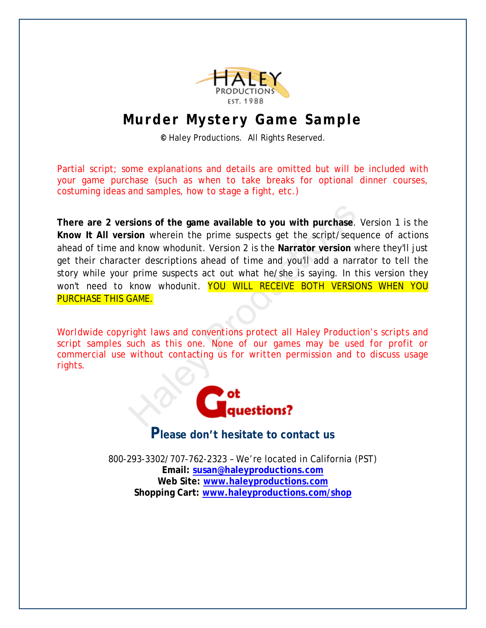

## **Murder Mystery Game Sample**

**©** Haley Productions. All Rights Reserved.

Partial script; some explanations and details are omitted but will be included with your game purchase (such as when to take breaks for optional dinner courses, costuming ideas and samples, how to stage a fight, etc.)

Sions of the game available to you with purchase.<br>
Sion wherein the prime suspects get the script/sequent who who dunit. Version 2 is the Narrator version v<br>
ter descriptions ahead of time and you'll add a narr<br>
prime susp **There are 2 versions of the game available to you with purchase**. Version 1 is the **Know It All version** wherein the prime suspects get the script/sequence of actions ahead of time and know whodunit. Version 2 is the **Narrator version** where they'll just get their character descriptions ahead of time and you'll add a narrator to tell the story while your prime suspects act out what he/she is saying. In this version they won't need to know whodunit. YOU WILL RECEIVE BOTH VERSIONS WHEN YOU PURCHASE THIS GAME.

*Worldwide copyright laws and conventions protect all Haley Production's scripts and script samples such as this one. None of our games may be used for profit or commercial use without contacting us for written permission and to discuss usage rights.*



## **Please don't hesitate to contact us**

800-293-3302/707-762-2323 – We're located in California (PST) **Email: susan@haleyproductions.com Web Site: www.haleyproductions.com Shopping Cart: www.haleyproductions.com/shop**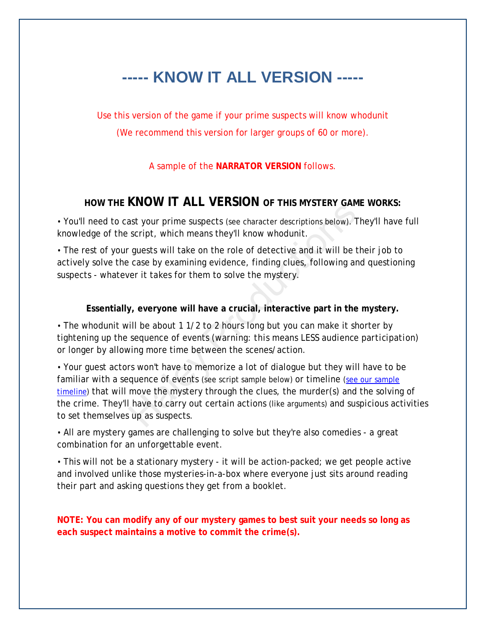## **----- KNOW IT ALL VERSION -----**

Use this version of the game if your prime suspects will know whodunit (We recommend this version for larger groups of 60 or more).

#### A sample of the **NARRATOR VERSION** follows.

### **HOW THE KNOW IT ALL VERSION OF THIS MYSTERY GAME WORKS:**

• You'll need to cast your prime suspects (see character descriptions below). They'll have full knowledge of the script, which means they'll know whodunit.

• The rest of your guests will take on the role of detective and it will be their job to actively solve the case by examining evidence, finding clues, following and questioning suspects - whatever it takes for them to solve the mystery.

#### **Essentially, everyone will have a crucial, interactive part in the mystery.**

• The whodunit will be about 1 1/2 to 2 hours long but you can make it shorter by tightening up the sequence of events *(warning: this means LESS audience participation)* or longer by allowing more time between the scenes/action.

NOW THELE VERSION OF THIS MESTERT SAW<br>ast your prime suspects (see character descriptions below). T<br>script, which means they'll know whodunit.<br>guests will take on the role of detective and it will be t<br>case by examining ev • Your guest actors won't have to memorize a lot of dialogue but they will have to be familiar with a sequence of events (see script sample below) or timeline (see our sample timeline) that will move the mystery through the clues, the murder(s) and the solving of the crime. They'll have to carry out certain actions (like arguments) and suspicious activities to set themselves up as suspects.

• All are mystery games are challenging to solve but they're also comedies - a great combination for an unforgettable event.

• This will not be a stationary mystery - it will be action-packed; we get people active and involved unlike those mysteries-in-a-box where everyone just sits around reading their part and asking questions they get from a booklet.

**NOTE: You can modify any of our mystery games to best suit your needs so long as each suspect maintains a motive to commit the crime(s).**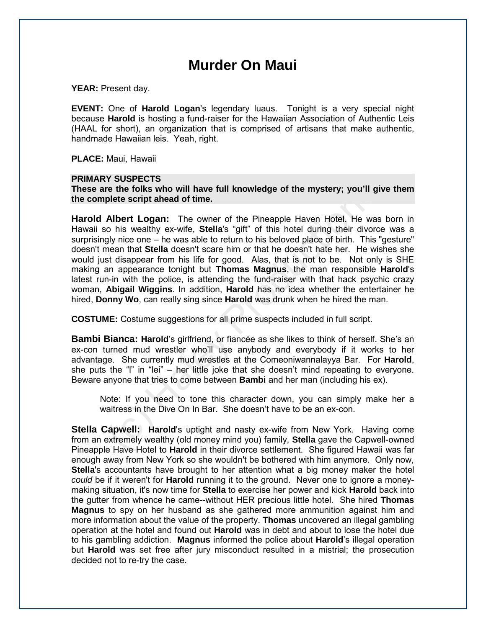## **Murder On Maui**

**YEAR:** Present day.

**EVENT:** One of **Harold Logan**'s legendary luaus. Tonight is a very special night because **Harold** is hosting a fund-raiser for the Hawaiian Association of Authentic Leis (HAAL for short), an organization that is comprised of artisans that make authentic, handmade Hawaiian leis. Yeah, right.

**PLACE:** Maui, Hawaii

#### **PRIMARY SUSPECTS**

**These are the folks who will have full knowledge of the mystery; you'll give them the complete script ahead of time.**

The the folks who will have full knowledge of the mystery; you'll give<br>plete script ahead of time.<br>Albert Logan: The owner of the Pineapple Haven Hotel, He was<br>o his wealthy ex-wife, Stella's "gift" of this hotel during th **Harold Albert Logan:** The owner of the Pineapple Haven Hotel. He was born in Hawaii so his wealthy ex-wife, **Stella**'s "gift" of this hotel during their divorce was a surprisingly nice one – he was able to return to his beloved place of birth. This "gesture" doesn't mean that **Stella** doesn't scare him or that he doesn't hate her. He wishes she would just disappear from his life for good. Alas, that is not to be. Not only is SHE making an appearance tonight but **Thomas Magnus**, the man responsible **Harold**'s latest run-in with the police, is attending the fund-raiser with that hack psychic crazy woman, **Abigail Wiggins**. In addition, **Harold** has no idea whether the entertainer he hired, **Donny Wo**, can really sing since **Harold** was drunk when he hired the man.

**COSTUME:** Costume suggestions for all prime suspects included in full script.

**Bambi Bianca: Harold**'s girlfriend, or fiancée as she likes to think of herself. She's an ex-con turned mud wrestler who'll use anybody and everybody if it works to her advantage. She currently mud wrestles at the Comeoniwannalayya Bar. For **Harold**, she puts the "l" in "lei" – her little joke that she doesn't mind repeating to everyone. Beware anyone that tries to come between **Bambi** and her man (including his ex).

Note: If you need to tone this character down, you can simply make her a waitress in the Dive On In Bar. She doesn't have to be an ex-con.

**Stella Capwell: Harold**'s uptight and nasty ex-wife from New York. Having come from an extremely wealthy (old money mind you) family, **Stella** gave the Capwell-owned Pineapple Have Hotel to **Harold** in their divorce settlement. She figured Hawaii was far enough away from New York so she wouldn't be bothered with him anymore. Only now, **Stella**'s accountants have brought to her attention what a big money maker the hotel *could* be if it weren't for **Harold** running it to the ground. Never one to ignore a moneymaking situation, it's now time for **Stella** to exercise her power and kick **Harold** back into the gutter from whence he came--without HER precious little hotel. She hired **Thomas Magnus** to spy on her husband as she gathered more ammunition against him and more information about the value of the property. **Thomas** uncovered an illegal gambling operation at the hotel and found out **Harold** was in debt and about to lose the hotel due to his gambling addiction. **Magnus** informed the police about **Harold**'s illegal operation but **Harold** was set free after jury misconduct resulted in a mistrial; the prosecution decided not to re-try the case.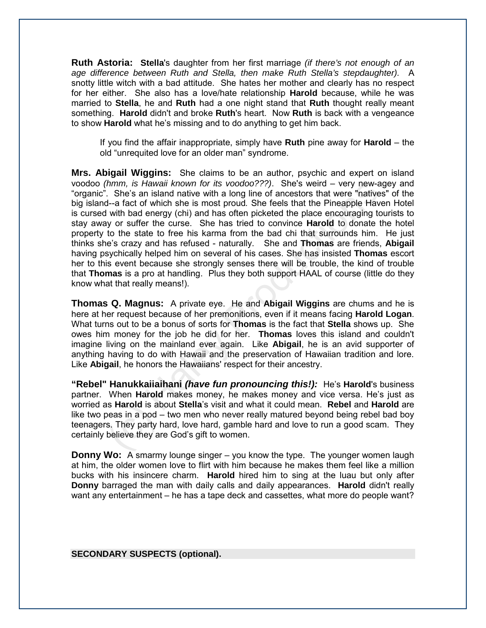**Ruth Astoria: Stella**'s daughter from her first marriage *(if there's not enough of an age difference between Ruth and Stella, then make Ruth Stella's stepdaughter).* A snotty little witch with a bad attitude. She hates her mother and clearly has no respect for her either. She also has a love/hate relationship **Harold** because, while he was married to **Stella**, he and **Ruth** had a one night stand that **Ruth** thought really meant something. **Harold** didn't and broke **Ruth**'s heart. Now **Ruth** is back with a vengeance to show **Harold** what he's missing and to do anything to get him back.

If you find the affair inappropriate, simply have **Ruth** pine away for **Harold** – the old "unrequited love for an older man" syndrome.

(*hmm*, is Hawai known for its voodor???). She's wered – very new-age<br>1. She's an island native with a long line of ancestors that were "natives"--a fact of which she is most proud. She feels that the Pineapple Have<br>4--a **Mrs. Abigail Wiggins:** She claims to be an author, psychic and expert on island voodoo *(hmm, is Hawaii known for its voodoo???)*. She's weird – very new-agey and "organic". She's an island native with a long line of ancestors that were "natives" of the big island--a fact of which she is most proud*.* She feels that the Pineapple Haven Hotel is cursed with bad energy (chi) and has often picketed the place encouraging tourists to stay away or suffer the curse. She has tried to convince **Harold** to donate the hotel property to the state to free his karma from the bad chi that surrounds him. He just thinks she's crazy and has refused - naturally. She and **Thomas** are friends, **Abigail** having psychically helped him on several of his cases. She has insisted **Thomas** escort her to this event because she strongly senses there will be trouble, the kind of trouble that **Thomas** is a pro at handling. Plus they both support HAAL of course (little do they know what that really means!).

**Thomas Q. Magnus:** A private eye. He and **Abigail Wiggins** are chums and he is here at her request because of her premonitions, even if it means facing **Harold Logan**. What turns out to be a bonus of sorts for **Thomas** is the fact that **Stella** shows up. She owes him money for the job he did for her. **Thomas** loves this island and couldn't imagine living on the mainland ever again. Like **Abigail**, he is an avid supporter of anything having to do with Hawaii and the preservation of Hawaiian tradition and lore. Like **Abigail**, he honors the Hawaiians' respect for their ancestry.

**"Rebel" Hanukkaiiaihani** *(have fun pronouncing this!):*He's **Harold**'s business partner. When **Harold** makes money, he makes money and vice versa. He's just as worried as **Harold** is about **Stella**'s visit and what it could mean. **Rebel** and **Harold** are like two peas in a pod – two men who never really matured beyond being rebel bad boy teenagers. They party hard, love hard, gamble hard and love to run a good scam. They certainly believe they are God's gift to women.

**Donny Wo:** A smarmy lounge singer – you know the type. The younger women laugh at him, the older women love to flirt with him because he makes them feel like a million bucks with his insincere charm. **Harold** hired him to sing at the luau but only after **Donny** barraged the man with daily calls and daily appearances. **Harold** didn't really want any entertainment – he has a tape deck and cassettes, what more do people want?

**SECONDARY SUSPECTS (optional).**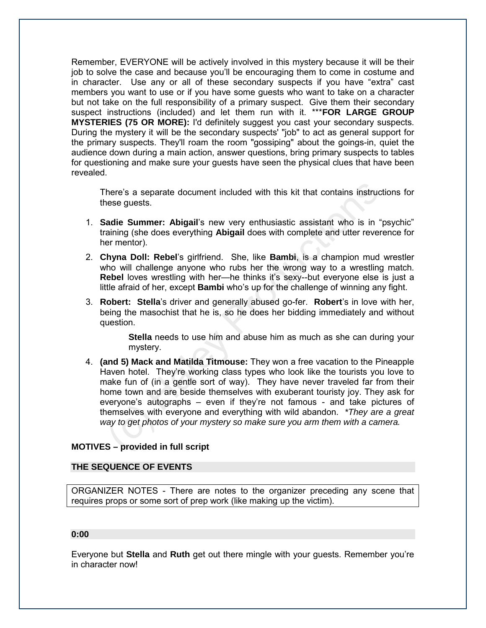Remember, EVERYONE will be actively involved in this mystery because it will be their job to solve the case and because you'll be encouraging them to come in costume and in character. Use any or all of these secondary suspects if you have "extra" cast members you want to use or if you have some guests who want to take on a character but not take on the full responsibility of a primary suspect. Give them their secondary suspect instructions (included) and let them run with it. \*\*\***FOR LARGE GROUP MYSTERIES (75 OR MORE):** I'd definitely suggest you cast your secondary suspects. During the mystery it will be the secondary suspects' "job" to act as general support for the primary suspects. They'll roam the room "gossiping" about the goings-in, quiet the audience down during a main action, answer questions, bring primary suspects to tables for questioning and make sure your guests have seen the physical clues that have been revealed.

There's a separate document included with this kit that contains instructions for these guests.

- 1. **Sadie Summer: Abigail**'s new very enthusiastic assistant who is in "psychic" training (she does everything **Abigail** does with complete and utter reverence for her mentor).
- 2. **Chyna Doll: Rebel**'s girlfriend. She, like **Bambi**, is a champion mud wrestler who will challenge anyone who rubs her the wrong way to a wrestling match. **Rebel** loves wrestling with her—he thinks it's sexy--but everyone else is just a little afraid of her, except **Bambi** who's up for the challenge of winning any fight.
- 3. **Robert: Stella**'s driver and generally abused go-fer. **Robert**'s in love with her, being the masochist that he is, so he does her bidding immediately and without question.

**Stella** needs to use him and abuse him as much as she can during your mystery.

here's a separate document included with this kit that contains instructies<br>ee guests.<br>
adie Summer: Abigail's new very enthusiastic assistant who is in "paining (she does everything Abigail does with complete and utter re 4. **(and 5) Mack and Matilda Titmouse:** They won a free vacation to the Pineapple Haven hotel. They're working class types who look like the tourists you love to make fun of (in a gentle sort of way). They have never traveled far from their home town and are beside themselves with exuberant touristy joy. They ask for everyone's autographs – even if they're not famous - and take pictures of themselves with everyone and everything with wild abandon. *\*They are a great way to get photos of your mystery so make sure you arm them with a camera.*

#### **MOTIVES – provided in full script**

#### **THE SEQUENCE OF EVENTS**

ORGANIZER NOTES - There are notes to the organizer preceding any scene that requires props or some sort of prep work (like making up the victim).

#### **0:00**

Everyone but **Stella** and **Ruth** get out there mingle with your guests. Remember you're in character now!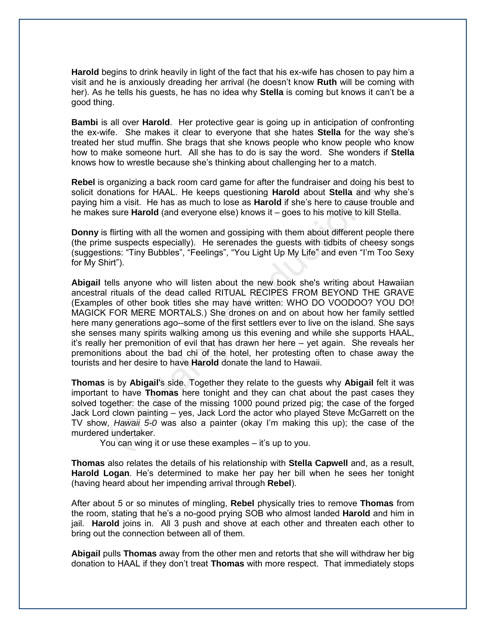**Harold** begins to drink heavily in light of the fact that his ex-wife has chosen to pay him a visit and he is anxiously dreading her arrival (he doesn't know **Ruth** will be coming with her). As he tells his guests, he has no idea why **Stella** is coming but knows it can't be a good thing.

**Bambi** is all over **Harold**. Her protective gear is going up in anticipation of confronting the ex-wife. She makes it clear to everyone that she hates **Stella** for the way she's treated her stud muffin. She brags that she knows people who know people who know how to make someone hurt. All she has to do is say the word. She wonders if **Stella** knows how to wrestle because she's thinking about challenging her to a match.

**Rebel** is organizing a back room card game for after the fundraiser and doing his best to solicit donations for HAAL. He keeps questioning **Harold** about **Stella** and why she's paying him a visit. He has as much to lose as **Harold** if she's here to cause trouble and he makes sure **Harold** (and everyone else) knows it – goes to his motive to kill Stella.

**Donny** is flirting with all the women and gossiping with them about different people there (the prime suspects especially). He serenades the guests with tidbits of cheesy songs (suggestions: "Tiny Bubbles", "Feelings", "You Light Up My Life" and even "I'm Too Sexy for My Shirt").

organizing a back room card game for arre free truncariser and colong his<br>onations for HAAL. He keeps questioning Harold about Stella and wh<br>im a visit. He has as much to lose as Harold if she's here to cause trou<br>s sure H **Abigail** tells anyone who will listen about the new book she's writing about Hawaiian ancestral rituals of the dead called RITUAL RECIPES FROM BEYOND THE GRAVE (Examples of other book titles she may have written: WHO DO VOODOO? YOU DO! MAGICK FOR MERE MORTALS.) She drones on and on about how her family settled here many generations ago--some of the first settlers ever to live on the island*.* She says she senses many spirits walking among us this evening and while she supports HAAL, it's really her premonition of evil that has drawn her here – yet again. She reveals her premonitions about the bad chi of the hotel, her protesting often to chase away the tourists and her desire to have **Harold** donate the land to Hawaii.

**Thomas** is by **Abigail**'s side. Together they relate to the guests why **Abigail** felt it was important to have **Thomas** here tonight and they can chat about the past cases they solved together: the case of the missing 1000 pound prized pig; the case of the forged Jack Lord clown painting – yes, Jack Lord the actor who played Steve McGarrett on the TV show, *Hawaii 5-0* was also a painter (okay I'm making this up); the case of the murdered undertaker.

You can wing it or use these examples – it's up to you.

**Thomas** also relates the details of his relationship with **Stella Capwell** and, as a result, **Harold Logan**. He's determined to make her pay her bill when he sees her tonight (having heard about her impending arrival through **Rebel**).

After about 5 or so minutes of mingling, **Rebel** physically tries to remove **Thomas** from the room, stating that he's a no-good prying SOB who almost landed **Harold** and him in jail. **Harold** joins in. All 3 push and shove at each other and threaten each other to bring out the connection between all of them.

**Abigail** pulls **Thomas** away from the other men and retorts that she will withdraw her big donation to HAAL if they don't treat **Thomas** with more respect. That immediately stops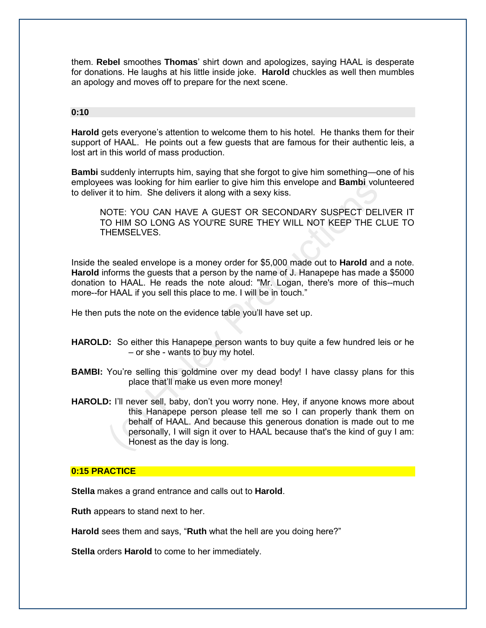them. **Rebel** smoothes **Thomas**' shirt down and apologizes, saying HAAL is desperate for donations. He laughs at his little inside joke. **Harold** chuckles as well then mumbles an apology and moves off to prepare for the next scene.

#### **0:10**

**Harold** gets everyone's attention to welcome them to his hotel. He thanks them for their support of HAAL. He points out a few guests that are famous for their authentic leis, a lost art in this world of mass production.

**Bambi** suddenly interrupts him, saying that she forgot to give him something—one of his employees was looking for him earlier to give him this envelope and **Bambi** volunteered to deliver it to him. She delivers it along with a sexy kiss.

NOTE: YOU CAN HAVE A GUEST OR SECONDARY SUSPECT DELIVER IT TO HIM SO LONG AS YOU'RE SURE THEY WILL NOT KEEP THE CLUE TO THEMSELVES.

Inside the sealed envelope is a money order for \$5,000 made out to **Harold** and a note. **Harold** informs the guests that a person by the name of J. Hanapepe has made a \$5000 donation to HAAL. He reads the note aloud: "Mr. Logan, there's more of this--much more--for HAAL if you sell this place to me. I will be in touch."

He then puts the note on the evidence table you'll have set up.

- **HAROLD:** So either this Hanapepe person wants to buy quite a few hundred leis or he – or she - wants to buy my hotel.
- **BAMBI:** You're selling this goldmine over my dead body! I have classy plans for this place that'll make us even more money!
- is was looking for him earlier to give him this envelope and **Bambi** Volutive it to thim. She delivers it along with a sexy kiss.<br>
O HIM SO LONG AS YOU'RE SURE THEY WILL NOT KEEP THE CL<br>
O HIM SO LONG AS YOU'RE SURE THEY W **HAROLD:** I'll never sell, baby, don't you worry none. Hey, if anyone knows more about this Hanapepe person please tell me so I can properly thank them on behalf of HAAL. And because this generous donation is made out to me personally, I will sign it over to HAAL because that's the kind of guy I am: Honest as the day is long.

#### **0:15 PRACTICE**

**Stella** makes a grand entrance and calls out to **Harold**.

**Ruth** appears to stand next to her.

**Harold** sees them and says, "**Ruth** what the hell are you doing here?"

**Stella** orders **Harold** to come to her immediately.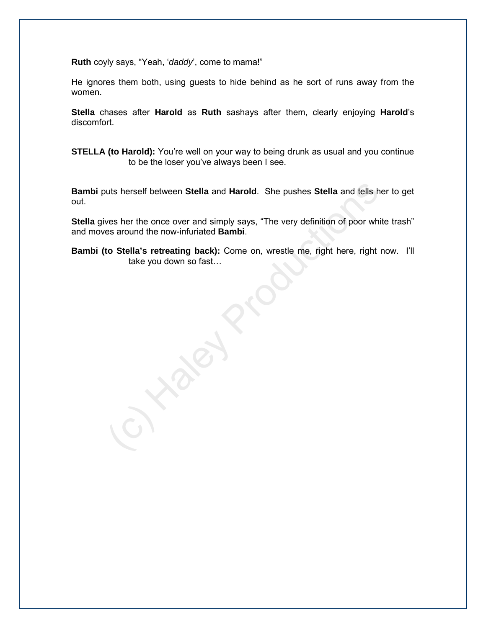**Ruth** coyly says, "Yeah, '*daddy*', come to mama!"

He ignores them both, using guests to hide behind as he sort of runs away from the women.

**Stella** chases after **Harold** as **Ruth** sashays after them, clearly enjoying **Harold**'s discomfort.

**STELLA (to Harold):** You're well on your way to being drunk as usual and you continue to be the loser you've always been I see.

uts herself between Stella and Harold. She pushes Stella and tells he<br>ves her the once over and simply says, "The very definition of poor white<br>the around the now-infuriated Bambi.<br>to Stella's retreating back): Come on, wr **Bambi** puts herself between **Stella** and **Harold**. She pushes **Stella** and tells her to get out.

**Stella** gives her the once over and simply says, "The very definition of poor white trash" and moves around the now-infuriated **Bambi**.

**Bambi (to Stella's retreating back):** Come on, wrestle me, right here, right now. I'll take you down so fast…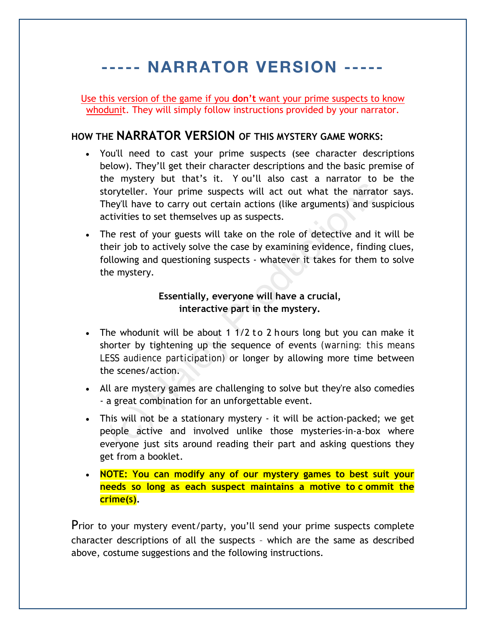# ----- NARRATOR VERSION -----

Use this version of the game if you **don't** want your prime suspects to know whodunit. They will simply follow instructions provided by your narrator.

### **HOW THE NARRATOR VERSION OF THIS MYSTERY GAME WORKS:**

- You'll need to cast your prime suspects (see character descriptions below). They'll get their character descriptions and the basic premise of the mystery but that's it. Y ou'll also cast a narrator to be the storyteller. Your prime suspects will act out what the narrator says. They'll have to carry out certain actions (like arguments) and suspicious activities to set themselves up as suspects.
- Example the compute that the same than the marked the matriculate of the matriculate of the matriculate of the matriculate of the matriculate of the matriculate of the matriculate of the matriculate of the matriculate of t • The rest of your guests will take on the role of detective and it will be their job to actively solve the case by examining evidence, finding clues, following and questioning suspects - whatever it takes for them to solve the mystery.

#### **Essentially, everyone will have a crucial, interactive part in the mystery.**

- The whodunit will be about 1  $1/2$  to 2 hours long but you can make it shorter by tightening up the sequence of events *(warning: this means LESS audience participation)* or longer by allowing more time between the scenes/action.
- All are mystery games are challenging to solve but they're also comedies - a great combination for an unforgettable event.
- This will not be a stationary mystery it will be action-packed; we get people active and involved unlike those mysteries-in-a-box where everyone just sits around reading their part and asking questions they get from a booklet.
- **NOTE: You can modify any of our mystery games to best suit your needs so long as each suspect maintains a motive to c ommit the crime(s).**

Prior to your mystery event/party, you'll send your prime suspects complete character descriptions of all the suspects – which are the same as described above, costume suggestions and the following instructions.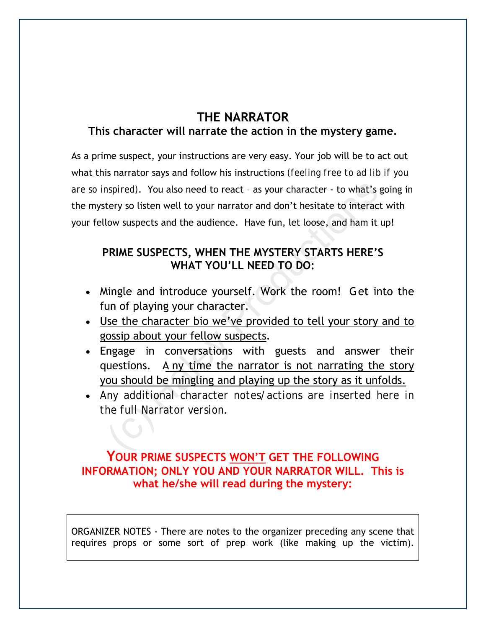## **THE NARRATOR This character will narrate the action in the mystery game.**

mappired). You also need to react - as your character - to what's getry so listen well to your narrator and don't hesitate to interact<br>low suspects and the audience. Have fun, let loose, and ham it u<br>PRIME SUSPECTS, WHEN T As a prime suspect, your instructions are very easy. Your job will be to act out what this narrator says and follow his instructions *(feeling free to ad lib if you are so inspired)*. You also need to react – as your character - to what's going in the mystery so listen well to your narrator and don't hesitate to interact with your fellow suspects and the audience. Have fun, let loose, and ham it up!

## **PRIME SUSPECTS, WHEN THE MYSTERY STARTS HERE'S WHAT YOU'LL NEED TO DO:**

- Mingle and introduce yourself. Work the room! Get into the fun of playing your character.
- Use the character bio we've provided to tell your story and to gossip about your fellow suspects.
- Engage in conversations with guests and answer their questions. A ny time the narrator is not narrating the story you should be mingling and playing up the story as it unfolds.
- *Any additional character notes/actions are inserted here in the full Narrator version.*

## **YOUR PRIME SUSPECTS WON'T GET THE FOLLOWING INFORMATION; ONLY YOU AND YOUR NARRATOR WILL. This is what he/she will read during the mystery:**

ORGANIZER NOTES - There are notes to the organizer preceding any scene that requires props or some sort of prep work (like making up the victim).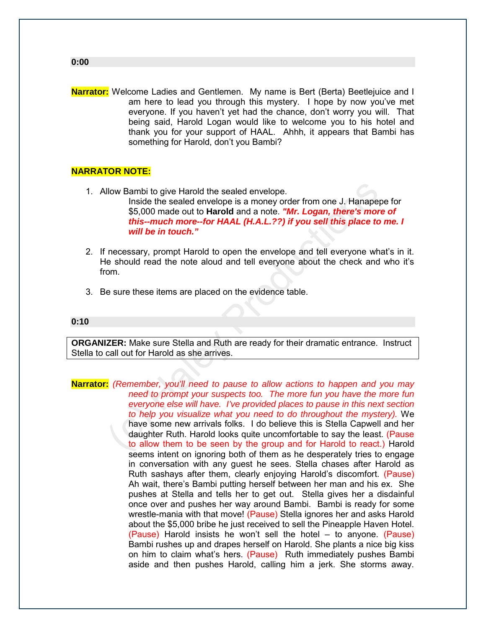**Narrator:** Welcome Ladies and Gentlemen. My name is Bert (Berta) Beetlejuice and I am here to lead you through this mystery. I hope by now you've met everyone. If you haven't yet had the chance, don't worry you will. That being said, Harold Logan would like to welcome you to his hotel and thank you for your support of HAAL. Ahhh, it appears that Bambi has something for Harold, don't you Bambi?

#### **NARRATOR NOTE:**

- 1. Allow Bambi to give Harold the sealed envelope. Inside the sealed envelope is a money order from one J. Hanapepe for \$5,000 made out to **Harold** and a note. *"Mr. Logan, there's more of this--much more--for HAAL (H.A.L.??) if you sell this place to me. I will be in touch."*
- 2. If necessary, prompt Harold to open the envelope and tell everyone what's in it. He should read the note aloud and tell everyone about the check and who it's from.
- 3. Be sure these items are placed on the evidence table.

#### **0:10**

**ORGANIZER:** Make sure Stella and Ruth are ready for their dramatic entrance. Instruct Stella to call out for Harold as she arrives.

(c) How Bambi to give Harold the sealed envelope.<br>
Inside the sealed envelope is a money order from one J. Hanapepe<br>
\$5,000 made out to **Harold** and a note. "Mr. Logan, there's more<br>
this-much more-for HAAL (H.A.L.??) if y **Narrator:** *(Remember, you'll need to pause to allow actions to happen and you may need to prompt your suspects too. The more fun you have the more fun everyone else will have. I've provided places to pause in this next section to help you visualize what you need to do throughout the mystery).* We have some new arrivals folks. I do believe this is Stella Capwell and her daughter Ruth. Harold looks quite uncomfortable to say the least. (Pause to allow them to be seen by the group and for Harold to react.) Harold seems intent on ignoring both of them as he desperately tries to engage in conversation with any guest he sees. Stella chases after Harold as Ruth sashays after them, clearly enjoying Harold's discomfort. (Pause) Ah wait, there's Bambi putting herself between her man and his ex. She pushes at Stella and tells her to get out. Stella gives her a disdainful once over and pushes her way around Bambi. Bambi is ready for some wrestle-mania with that move! (Pause) Stella ignores her and asks Harold about the \$5,000 bribe he just received to sell the Pineapple Haven Hotel. (Pause) Harold insists he won't sell the hotel – to anyone. (Pause) Bambi rushes up and drapes herself on Harold. She plants a nice big kiss on him to claim what's hers. (Pause) Ruth immediately pushes Bambi aside and then pushes Harold, calling him a jerk. She storms away.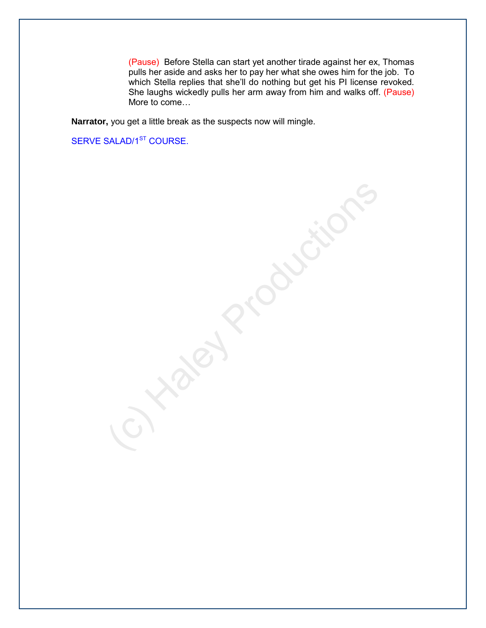(Pause) Before Stella can start yet another tirade against her ex, Thomas pulls her aside and asks her to pay her what she owes him for the job. To which Stella replies that she'll do nothing but get his PI license revoked. She laughs wickedly pulls her arm away from him and walks off. (Pause) More to come…

**Narrator,** you get a little break as the suspects now will mingle.

SERVE SALAD/1<sup>ST</sup> COURSE.

**Production**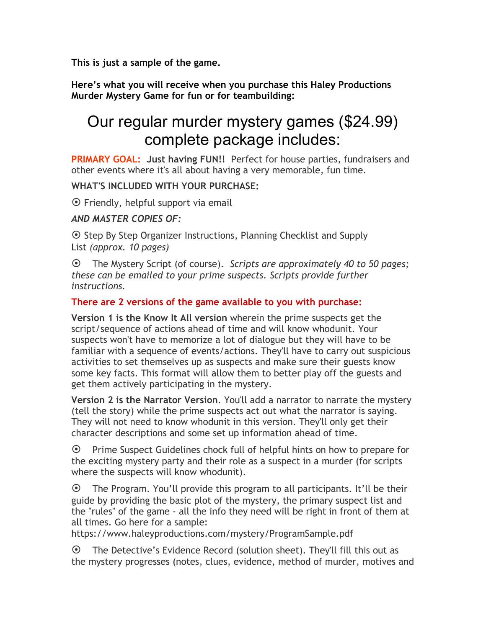**This is just a sample of the game.**

**Here's what you will receive when you purchase this Haley Productions Murder Mystery Game for fun or for teambuilding:**

# Our regular murder mystery games (\$24.99) complete package includes:

**PRIMARY GOAL: Just having FUN!!** Perfect for house parties, fundraisers and other events where it's all about having a very memorable, fun time.

### **WHAT'S INCLUDED WITH YOUR PURCHASE:**

 $\odot$  Friendly, helpful support via email

## *AND MASTER COPIES OF:*

⊙ Step By Step Organizer Instructions, Planning Checklist and Supply List *(approx. 10 pages)*

¤ The Mystery Script (of course). *Scripts are approximately 40 to 50 pages; these can be emailed to your prime suspects. Scripts provide further instructions.*

### **There are 2 versions of the game available to you with purchase:**

**Version 1 is the Know It All version** wherein the prime suspects get the script/sequence of actions ahead of time and will know whodunit. Your suspects won't have to memorize a lot of dialogue but they will have to be familiar with a sequence of events/actions. They'll have to carry out suspicious activities to set themselves up as suspects and make sure their guests know some key facts. This format will allow them to better play off the guests and get them actively participating in the mystery.

**Version 2 is the Narrator Version**. You'll add a narrator to narrate the mystery (tell the story) while the prime suspects act out what the narrator is saying. They will not need to know whodunit in this version. They'll only get their character descriptions and some set up information ahead of time.

 $\odot$  Prime Suspect Guidelines chock full of helpful hints on how to prepare for the exciting mystery party and their role as a suspect in a murder (for scripts where the suspects will know whodunit).

 $\odot$  The Program. You'll provide this program to all participants. It'll be their guide by providing the basic plot of the mystery, the primary suspect list and the "rules" of the game - all the info they need will be right in front of them at all times. Go here for a sample:

https://www.haleyproductions.com/mystery/ProgramSample.pdf

 $\odot$  The Detective's Evidence Record (solution sheet). They'll fill this out as the mystery progresses (notes, clues, evidence, method of murder, motives and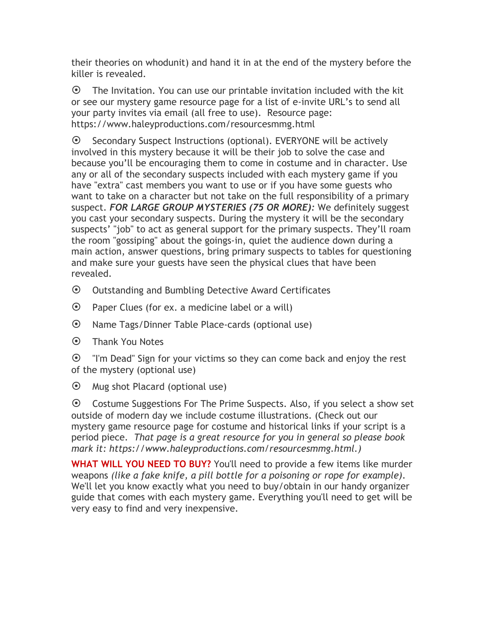their theories on whodunit) and hand it in at the end of the mystery before the killer is revealed.

 $\odot$  The Invitation. You can use our printable invitation included with the kit or see our mystery game resource page for a list of e-invite URL's to send all your party invites via email (all free to use). Resource page: https://www.haleyproductions.com/resourcesmmg.html

 $\odot$  Secondary Suspect Instructions (optional). EVERYONE will be actively involved in this mystery because it will be their job to solve the case and because you'll be encouraging them to come in costume and in character. Use any or all of the secondary suspects included with each mystery game if you have "extra" cast members you want to use or if you have some guests who want to take on a character but not take on the full responsibility of a primary suspect. *FOR LARGE GROUP MYSTERIES (75 OR MORE):* We definitely suggest you cast your secondary suspects. During the mystery it will be the secondary suspects' "job" to act as general support for the primary suspects. They'll roam the room "gossiping" about the goings-in, quiet the audience down during a main action, answer questions, bring primary suspects to tables for questioning and make sure your guests have seen the physical clues that have been revealed.

- $\odot$  Outstanding and Bumbling Detective Award Certificates
- $\odot$  Paper Clues (for ex. a medicine label or a will)
- ¤ Name Tags/Dinner Table Place-cards (optional use)
- $\odot$  Thank You Notes

 $\odot$  "I'm Dead" Sign for your victims so they can come back and enjoy the rest of the mystery (optional use)

 $\odot$  Mug shot Placard (optional use)

 $\odot$  Costume Suggestions For The Prime Suspects. Also, if you select a show set outside of modern day we include costume illustrations. (Check out our mystery game resource page for costume and historical links if your script is a period piece. *That page is a great resource for you in general so please book mark it: https://www.haleyproductions.com/resourcesmmg.html.)*

**WHAT WILL YOU NEED TO BUY?** You'll need to provide a few items like murder weapons *(like a fake knife, a pill bottle for a poisoning or rope for example)*. We'll let you know exactly what you need to buy/obtain in our handy organizer guide that comes with each mystery game. Everything you'll need to get will be very easy to find and very inexpensive.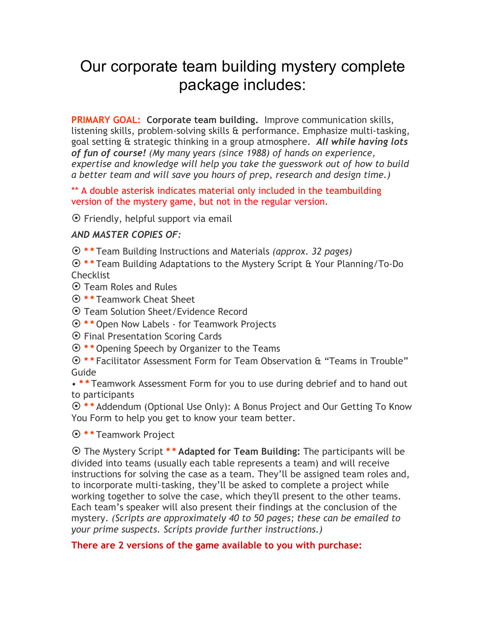## Our corporate team building mystery complete package includes:

**PRIMARY GOAL: Corporate team building.** Improve communication skills, listening skills, problem-solving skills & performance. Emphasize multi-tasking, goal setting & strategic thinking in a group atmosphere. *All while having lots of fun of course! (My many years (since 1988) of hands on experience, expertise and knowledge will help you take the guesswork out of how to build a better team and will save you hours of prep, research and design time.)*

\*\* A double asterisk indicates material only included in the teambuilding version of the mystery game, but not in the regular version.

 $\odot$  Friendly, helpful support via email

#### *AND MASTER COPIES OF:*

¤ **\* \*** Team Building Instructions and Materials *(approx. 32 pages)*

¤ **\* \*** Team Building Adaptations to the Mystery Script & Your Planning/To-Do **Checklist** 

¤ Team Roles and Rules

¤ **\* \*** Teamwork Cheat Sheet

¤ Team Solution Sheet/Evidence Record

¤ **\* \*** Open Now Labels - for Teamwork Projects

 $\odot$  Final Presentation Scoring Cards

¤ **\* \*** Opening Speech by Organizer to the Teams

¤ **\* \*** Facilitator Assessment Form for Team Observation & "Teams in Trouble" Guide

• **\* \*** Teamwork Assessment Form for you to use during debrief and to hand out to participants

¤ **\* \*** Addendum (Optional Use Only): A Bonus Project and Our Getting To Know You Form to help you get to know your team better.

#### ¤ **\* \*** Teamwork Project

¤ The Mystery Script **\* \* Adapted for Team Building:** The participants will be divided into teams (usually each table represents a team) and will receive instructions for solving the case as a team. They'll be assigned team roles and, to incorporate multi-tasking, they'll be asked to complete a project while working together to solve the case, which they'll present to the other teams. Each team's speaker will also present their findings at the conclusion of the mystery. *(Scripts are approximately 40 to 50 pages; these can be emailed to your prime suspects. Scripts provide further instructions.)*

#### **There are 2 versions of the game available to you with purchase:**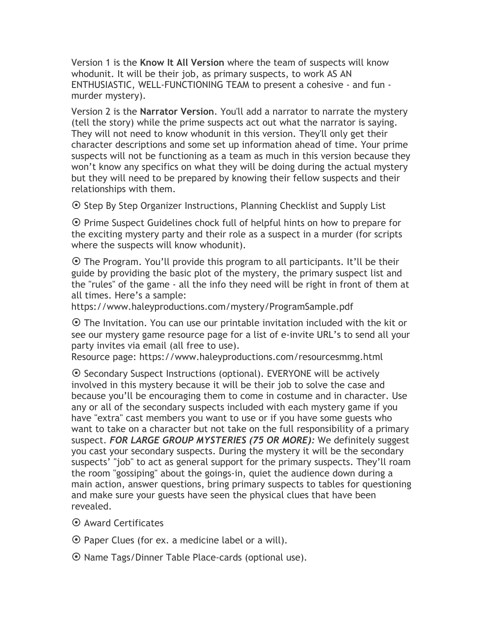Version 1 is the **Know It All Version** where the team of suspects will know whodunit. It will be their job, as primary suspects, to work AS AN ENTHUSIASTIC, WELL-FUNCTIONING TEAM to present a cohesive - and fun murder mystery).

Version 2 is the **Narrator Version**. You'll add a narrator to narrate the mystery (tell the story) while the prime suspects act out what the narrator is saying. They will not need to know whodunit in this version. They'll only get their character descriptions and some set up information ahead of time. Your prime suspects will not be functioning as a team as much in this version because they won't know any specifics on what they will be doing during the actual mystery but they will need to be prepared by knowing their fellow suspects and their relationships with them.

 $\odot$  Step By Step Organizer Instructions, Planning Checklist and Supply List

⊙ Prime Suspect Guidelines chock full of helpful hints on how to prepare for the exciting mystery party and their role as a suspect in a murder (for scripts where the suspects will know whodunit).

 $\odot$  The Program. You'll provide this program to all participants. It'll be their guide by providing the basic plot of the mystery, the primary suspect list and the "rules" of the game - all the info they need will be right in front of them at all times. Here's a sample:

https://www.haleyproductions.com/mystery/ProgramSample.pdf

 $\odot$  The Invitation. You can use our printable invitation included with the kit or see our mystery game resource page for a list of e-invite URL's to send all your party invites via email (all free to use).

Resource page: https://www.haleyproductions.com/resourcesmmg.html

¤ Secondary Suspect Instructions (optional). EVERYONE will be actively involved in this mystery because it will be their job to solve the case and because you'll be encouraging them to come in costume and in character. Use any or all of the secondary suspects included with each mystery game if you have "extra" cast members you want to use or if you have some guests who want to take on a character but not take on the full responsibility of a primary suspect. *FOR LARGE GROUP MYSTERIES (75 OR MORE):* We definitely suggest you cast your secondary suspects. During the mystery it will be the secondary suspects' "job" to act as general support for the primary suspects. They'll roam the room "gossiping" about the goings-in, quiet the audience down during a main action, answer questions, bring primary suspects to tables for questioning and make sure your guests have seen the physical clues that have been revealed.

- ¤ Award Certificates
- $\odot$  Paper Clues (for ex. a medicine label or a will).
- ⊙ Name Tags/Dinner Table Place-cards (optional use).